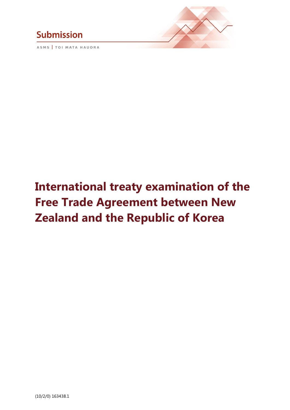

## **Submission**

ASMS | TOI MATA HAUORA

# **International treaty examination of the Free Trade Agreement between New Zealand and the Republic of Korea**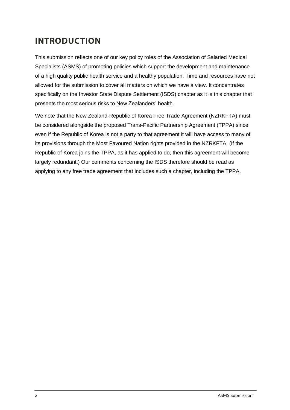## **INTRODUCTION**

This submission reflects one of our key policy roles of the Association of Salaried Medical Specialists (ASMS) of promoting policies which support the development and maintenance of a high quality public health service and a healthy population. Time and resources have not allowed for the submission to cover all matters on which we have a view. It concentrates specifically on the Investor State Dispute Settlement (ISDS) chapter as it is this chapter that presents the most serious risks to New Zealanders' health.

We note that the New Zealand-Republic of Korea Free Trade Agreement (NZRKFTA) must be considered alongside the proposed Trans-Pacific Partnership Agreement (TPPA) since even if the Republic of Korea is not a party to that agreement it will have access to many of its provisions through the Most Favoured Nation rights provided in the NZRKFTA. (If the Republic of Korea joins the TPPA, as it has applied to do, then this agreement will become largely redundant.) Our comments concerning the ISDS therefore should be read as applying to any free trade agreement that includes such a chapter, including the TPPA.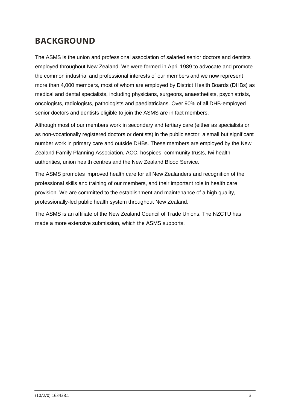### **BACKGROUND**

The ASMS is the union and professional association of salaried senior doctors and dentists employed throughout New Zealand. We were formed in April 1989 to advocate and promote the common industrial and professional interests of our members and we now represent more than 4,000 members, most of whom are employed by District Health Boards (DHBs) as medical and dental specialists, including physicians, surgeons, anaesthetists, psychiatrists, oncologists, radiologists, pathologists and paediatricians. Over 90% of all DHB-employed senior doctors and dentists eligible to join the ASMS are in fact members.

Although most of our members work in secondary and tertiary care (either as specialists or as non-vocationally registered doctors or dentists) in the public sector, a small but significant number work in primary care and outside DHBs. These members are employed by the New Zealand Family Planning Association, ACC, hospices, community trusts, Iwi health authorities, union health centres and the New Zealand Blood Service.

The ASMS promotes improved health care for all New Zealanders and recognition of the professional skills and training of our members, and their important role in health care provision. We are committed to the establishment and maintenance of a high quality, professionally-led public health system throughout New Zealand.

The ASMS is an affiliate of the New Zealand Council of Trade Unions. The NZCTU has made a more extensive submission, which the ASMS supports.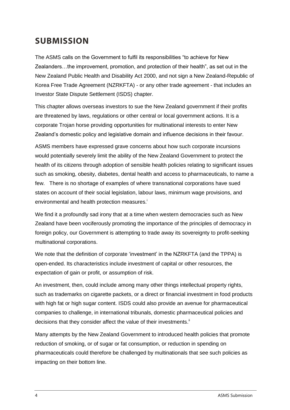### **SUBMISSION**

The ASMS calls on the Government to fulfil its responsibilities "to achieve for New Zealanders…the improvement, promotion, and protection of their health", as set out in the New Zealand Public Health and Disability Act 2000, and not sign a New Zealand-Republic of Korea Free Trade Agreement (NZRKFTA) - or any other trade agreement - that includes an Investor State Dispute Settlement (ISDS) chapter.

This chapter allows overseas investors to sue the New Zealand government if their profits are threatened by laws, regulations or other central or local government actions. It is a corporate Trojan horse providing opportunities for multinational interests to enter New Zealand's domestic policy and legislative domain and influence decisions in their favour.

ASMS members have expressed grave concerns about how such corporate incursions would potentially severely limit the ability of the New Zealand Government to protect the health of its citizens through adoption of sensible health policies relating to significant issues such as smoking, obesity, diabetes, dental health and access to pharmaceuticals, to name a few. There is no shortage of examples of where transnational corporations have sued states on account of their social legislation, labour laws, minimum wage provisions, and environmental and health protection measures.<sup>i</sup>

We find it a profoundly sad irony that at a time when western democracies such as New Zealand have been vociferously promoting the importance of the principles of democracy in foreign policy, our Government is attempting to trade away its sovereignty to profit-seeking multinational corporations.

We note that the definition of corporate 'investment' in the NZRKFTA (and the TPPA) is open-ended. Its characteristics include investment of capital or other resources, the expectation of gain or profit, or assumption of risk.

An investment, then, could include among many other things intellectual property rights, such as trademarks on cigarette packets, or a direct or financial investment in food products with high fat or high sugar content. ISDS could also provide an avenue for pharmaceutical companies to challenge, in international tribunals, domestic pharmaceutical policies and decisions that they consider affect the value of their investments.<sup>"</sup>

Many attempts by the New Zealand Government to introduced health policies that promote reduction of smoking, or of sugar or fat consumption, or reduction in spending on pharmaceuticals could therefore be challenged by multinationals that see such policies as impacting on their bottom line.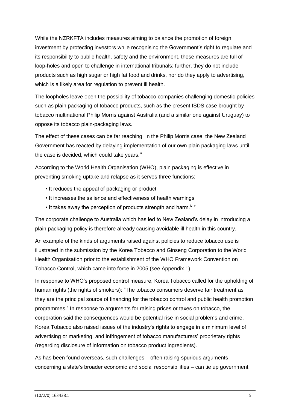While the NZRKFTA includes measures aiming to balance the promotion of foreign investment by protecting investors while recognising the Government's right to regulate and its responsibility to public health, safety and the environment, those measures are full of loop-holes and open to challenge in international tribunals; further, they do not include products such as high sugar or high fat food and drinks, nor do they apply to advertising, which is a likely area for regulation to prevent ill health.

The loopholes leave open the possibility of tobacco companies challenging domestic policies such as plain packaging of tobacco products, such as the present ISDS case brought by tobacco multinational Philip Morris against Australia (and a similar one against Uruguay) to oppose its tobacco plain-packaging laws.

The effect of these cases can be far reaching. In the Philip Morris case, the New Zealand Government has reacted by delaying implementation of our own plain packaging laws until the case is decided, which could take years.<sup>iii</sup>

According to the World Health Organisation (WHO), plain packaging is effective in preventing smoking uptake and relapse as it serves three functions:

- It reduces the appeal of packaging or product
- It increases the salience and effectiveness of health warnings
- It takes away the perception of products strength and harm.<sup>iv v</sup>

The corporate challenge to Australia which has led to New Zealand's delay in introducing a plain packaging policy is therefore already causing avoidable ill health in this country.

An example of the kinds of arguments raised against policies to reduce tobacco use is illustrated in the submission by the Korea Tobacco and Ginseng Corporation to the World Health Organisation prior to the establishment of the WHO Framework Convention on Tobacco Control, which came into force in 2005 (see Appendix 1).

In response to WHO's proposed control measure, Korea Tobacco called for the upholding of human rights (the rights of smokers): "The tobacco consumers deserve fair treatment as they are the principal source of financing for the tobacco control and public health promotion programmes." In response to arguments for raising prices or taxes on tobacco, the corporation said the consequences would be potential rise in social problems and crime. Korea Tobacco also raised issues of the industry's rights to engage in a minimum level of advertising or marketing, and infringement of tobacco manufacturers' proprietary rights (regarding disclosure of information on tobacco product ingredients).

As has been found overseas, such challenges – often raising spurious arguments concerning a state's broader economic and social responsibilities – can tie up government